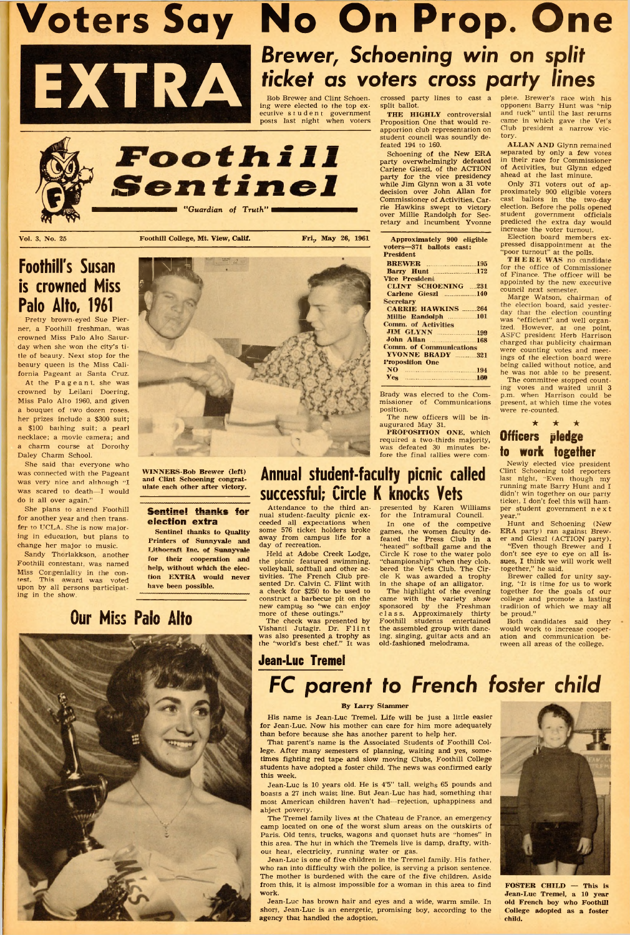**EXTRA Voters Say No On Prop. One** *Brewer, Schoening win on split ticket as voters cross party lines*

Bob Brewer and Clint Schoen- crossed party lines to cast a plete. Brewer's race with his ecutive student government **THE HIGHLY** controversial <sup>and tuck" until the last returns</sup>

ing were elected to the top ex- split ballot. opponent Barry Hunt was 'nip

Schoening of the New ERA separated by only a few votes<br>party overwhelmingly defeated in their race for Commissioner in their race for Commissioner<br>of Activities, but Glynn edged

student government officials<br>predicted the extra day would increase the voter turnout.<br>Election board members ex-

posts last night when voters Proposition One that would re- came in which gave the Vet's **Experimentally representation on** Club president a narrow vic-<br>student council was soundly de. tory. student council was soundly de-<br>feated 194 to 160.

> pressed disappointment at the "poor turnout" at the polls.<br>THERE WAS no candidate

ings of the election board were

present, at which time the votes

Carlene Gieszl, of the ACTION of Activities, but Glynn edged party for the vice presidency ahead at the last minute. while Jim Glynn won a 31 vote Only 371 voters out of ap-<br>decision over John Allan for proximately 900 eligible voters Commissioner of Activities. Car- cast ballots in the two-day rie Hawkins swept to victory election. Before the polls opened **"Guardian of Truth" EXECUTE:** The Hawkins swept to victory over Millie Randolph for Secretary and incumbent Yvonne

| Approximately 900 eligible<br>voters-371 ballots cast: |  |
|--------------------------------------------------------|--|
| President                                              |  |
| <b>BREWER</b> 195                                      |  |
| <b>Barry Hunt</b> 172                                  |  |
| <b>Vice President</b>                                  |  |
| <b>CLINT SCHOENING 231</b>                             |  |
| Carlene Gieszl 140                                     |  |
| <b>Secretary</b>                                       |  |
| <b>CARRIE HAWKINS</b> 264                              |  |
|                                                        |  |
| <b>Comm. of Activities</b>                             |  |
| <b>JIM GLYNN</b> 199                                   |  |
|                                                        |  |
| <b>Comm. of Communications</b>                         |  |
| <b>YVONNE BRADY</b> 321                                |  |
| <b>Proposition One</b>                                 |  |
| NO 194                                                 |  |
| $Y_{\text{eg}}$ 160                                    |  |

fore the final tallies were com-

Sandy Thorlakkson, another . . . . ' . Held at Adobe Creek Lodge, Circle K rose to the water polo don't see eye to eye on all isnew campu<sub>s</sub> so "we can enjoy sponsored by the Freshman tradition of which we may al

was also presented a trophy as ing, singing, guitar acts and an ation and communication b<br>the "world's best chef." It was old-fashioned melodrama. tween all areas of the college.

<span id="page-0-0"></span>

for Jean-Luc. Now his mother can care for him more adequately than before because she has another parent to help her.

She said that everyone who Newly elected vice president

The Tremel family lives at the Chateau de France, an emergency camp located on one of the worst slum areas on the outskirts of Paris. Old tents, trucks, wagons and quonset huts are "homes" in this area. The hut in which the Tremels live is damp, drafty, without heat, electricity, running water or gas.

> FOSTER CHILD - This is Jean-Luc Tremel, a 10 year old French boy who Foothill College adopted as a foster child.



. <sup>1</sup> <sup>6</sup> 1S n0W m al° r Sentinel thanks to Quality some 576 ticket holders broke games, the wom en faculty de- ERA party) ran against Brew-

construct a barbecue pit on the came with the variety show college and promote a lasting new campu<sub>s</sub> so "we can enjoy sponsored by the Freshman tradition of which we may all

ECOCTILE III Schoening of the New ERA separated by only a few votes<br>party overwhelmingly defeated in their race for Commissioner party for the vice presidency ahead at the last minute.<br>While Jim Glynn won a 31 vote Only 371 voters out of applementary 900 eligible voters<br>Commissioner of Activities, Car. cast ballots in the two-day

Vol. 3, No. 25 **Foothill College, Mt. View, Calif.** Fri., May 26, 1961

crowned Miss Palo Alto Satur-At the Pageant. she was

was connected with the Pageant **WINNERS-BOD Brewer (left) ANNUAL STUGENT-TACUITY PICNIC CALLEC** Last night, "Even though my

for another year and then trans-<br>fe to UCLA. She is now major-<br>Sentinel thanks to Quality some 576 ticket holders broke games, the women faculty de. ERA party) ran against Brewing in education, but plans to **Printers of Sunnyvale and** away from campus life for a feated the Press Club in a er and Gieszl (ACTION party), change her major to music. The **integral of Suppyrich** any of recreation. " " " heated" softball game and the "Even though Brewer and I

Foothill contestant, was named their cooperation and the picnic featured swimming, "championship" when they clob. sues, I think we will work well

## Jean-Luc Tremel

# **FC** *parent to French foster child*

## By Larry Stammer

His name is Jean-Luc Tremel. Life will be just a little easier



help, without which the elec- volleyball, softball and other ac- bered the Vets Club. The Cir- together," he said Miss Congeniality in the con-<br>test. This award was voted tion **EXTRA would never** tivities. The French Club pre- cle K was awarded a trophy Brewer called for unity say-<br>upon by all persons participat. have been possible. S upon by all persons participat.<br>ing in the shape of an alligator. Ing, "It is time for us to work<br>ing in the shape of the shape of an alligator. Ing, "It is time for us to work<br>a check for \$250 to be used to a result in th a check for \$250 to be used to The highlight of the evening together for the goals of our construct a barbecue pit on the came with the variety show college and promote a lasting

**OUI' MISS Palo Alto**<br>The check was presented by Foothill students entertained Both candidates said they<br>Vishanti Jutagir. Dr. Flint the assembled group with danc- would work to increase cooper-The check was presented by Foothill students entertained Both candidates said they<br>Vishanti Jutagir. Dr. F l in t the assembled group with danc- would work to increase cooper-<br>was also presented a trophy as ing, singing, g



That parent's name is the Associated Students of Foothill College. After many semesters of planning, waiting and yes, sometimes fighting red tape and slow moving Clubs, Foothill College students have adopted a foster child. The news was confirmed early this week.

Jean-Luc is 10 years old. He is 4'5" tall, weighs 65 pounds and boasts a 27 inch waist line. But Jean-Luc has had, something that most American children haven't had— rejection, uphappiness and abject poverty.

Jean-Luc is one of five children in the Tremel family. His father, who ran into difficulty with the police, is serving a prison sentence. The mother is burdened with the care of the five children. Aside from this, it is almost impossible for a woman in this area to find work.

Jean-Luc has brown hair and eyes and a wide, warm smile. In short, Jean-Luc is an energetic, promising boy, according to the agency that handled the adoption.